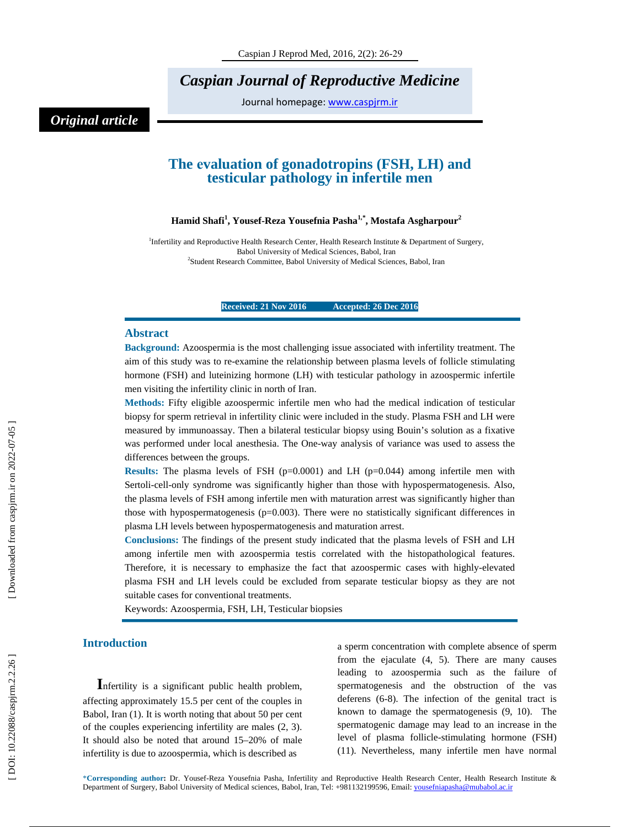*Caspian Journal of Reproductive Medicine* 

Journal homepage: www.caspjrm.ir

# *Original article*

## **The evaluation of gonadotropins (FSH, LH) and testicular pathology in infertile men**

### $\mathbf{H}$ amid Shafi<sup>1</sup>, Yousef-Reza Yousefnia Pasha<sup>1,\*</sup>, Mostafa Asgharpour<sup>2</sup>

<sup>1</sup>Infertility and Reproductive Health Research Center, Health Research Institute & Department of Surgery, Babol University of Medical Sciences, Babol, Iran 2 Student Research Committee, Babol University of Medical Sciences, Babol, Iran

**Received: 21 Nov 2016 Accepted: 26 Dec 2016** 

### **Abstract**

**Background:** Azoospermia is the most challenging issue associated with infertility treatment. The aim of this study was to re-examine the relationship between plasma levels of follicle stimulating hormone (FSH) and luteinizing hormone (LH) with testicular pathology in azoospermic infertile men visiting the infertility clinic in north of Iran.

**Methods:** Fifty eligible azoospermic infertile men who had the medical indication of testicular biopsy for sperm retrieval in infertility clinic were included in the study. Plasma FSH and LH were measured by immunoassay. Then a bilateral testicular biopsy using Bouin's solution as a fixative was performed under local anesthesia. The One-way analysis of variance was used to assess the differences between the groups.

**Results:** The plasma levels of FSH  $(p=0.0001)$  and LH  $(p=0.044)$  among infertile men with Sertoli-cell-only syndrome was significantly higher than those with hypospermatogenesis. Also, the plasma levels of FSH among infertile men with maturation arrest was significantly higher than those with hypospermatogenesis ( $p=0.003$ ). There were no statistically significant differences in plasma LH levels between hypospermatogenesis and maturation arrest.

**Conclusions:** The findings of the present study indicated that the plasma levels of FSH and LH among infertile men with azoospermia testis correlated with the histopathological features. Therefore, it is necessary to emphasize the fact that azoospermic cases with highly-elevated plasma FSH and LH levels could be excluded from separate testicular biopsy as they are not suitable cases for conventional treatments.

Keywords: Azoospermia, FSH, LH, Testicular biopsies

**Introduction**<br>**I**nfertility is a significant public health problem, affecting approximately 15.5 per cent of the couples in Babol, Iran (1). It is worth noting that about 50 per cent of the couples experiencing infertility are males (2, 3). It should also be noted that around 15–20% of male infertility is due to azoospermia, which is described as

a sperm concentration with complete absence of sperm from the ejaculate (4, 5). There are many causes leading to azoospermia such as the failure of spermatogenesis and the obstruction of the vas deferens (6-8). The infection of the genital tract is known to damage the spermatogenesis (9, 10). The spermatogenic damage may lead to an increase in the level of plasma follicle-stimulating hormone (FSH) (11). Nevertheless, many infertile men have normal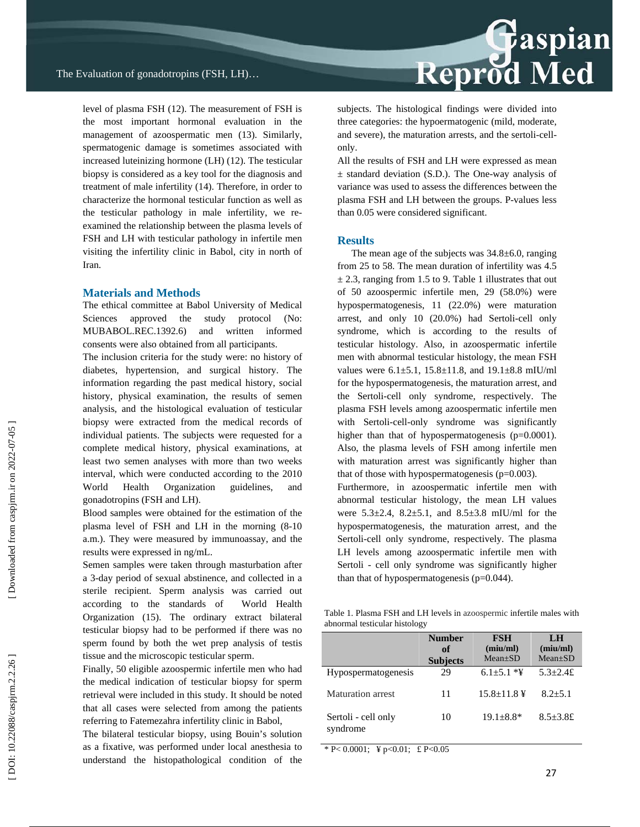level of plasma FSH (12). The measurement of FSH is the most important hormonal evaluation in the management of azoospermatic men (13). Similarly, spermatogenic damage is sometimes associated with increased luteinizing hormone (LH) (12). The testicular biopsy is considered as a key tool for the diagnosis and treatment of male infertility (14). Therefore, in order to characterize the hormonal testicular function as well as the testicular pathology in male infertility, we reexamined the relationship between the plasma levels of FSH and LH with testicular pathology in infertile men visiting the infertility clinic in Babol, city in north of Iran.

### **Materials and Methods**

The ethical committee at Babol University of Medical Sciences approved the study protocol (No: MUBABOL.REC.1392.6) and written informed consents were also obtained from all participants.

The inclusion criteria for the study were: no history of diabetes, hypertension, and surgical history. The information regarding the past medical history, social history, physical examination, the results of semen analysis, and the histological evaluation of testicular biopsy were extracted from the medical records of individual patients. The subjects were requested for a complete medical history, physical examinations, at least two semen analyses with more than two weeks interval, which were conducted according to the 2010 World Health Organization guidelines, and gonadotropins (FSH and LH).

Blood samples were obtained for the estimation of the plasma level of FSH and LH in the morning (8-10 a.m.). They were measured by immunoassay, and the results were expressed in ng/mL.

Semen samples were taken through masturbation after a 3-day period of sexual abstinence, and collected in a sterile recipient. Sperm analysis was carried out according to the standards of World Health Organization (15). The ordinary extract bilateral testicular biopsy had to be performed if there was no sperm found by both the wet prep analysis of testis tissue and the microscopic testicular sperm.

Finally, 50 eligible azoospermic infertile men who had the medical indication of testicular biopsy for sperm retrieval were included in this study. It should be noted that all cases were selected from among the patients referring to Fatemezahra infertility clinic in Babol,

The bilateral testicular biopsy, using Bouin's solution as a fixative, was performed under local anesthesia to understand the histopathological condition of the

# **Example 18**<br>Reprod Med

subjects. The histological findings were divided into three categories: the hypoermatogenic (mild, moderate, and severe), the maturation arrests, and the sertoli-cellonly.

All the results of FSH and LH were expressed as mean  $\pm$  standard deviation (S.D.). The One-way analysis of variance was used to assess the differences between the plasma FSH and LH between the groups. P-values less than 0.05 were considered significant.

### **Results**

The mean age of the subjects was 34.8±6.0, ranging from 25 to 58. The mean duration of infertility was 4.5  $\pm$  2.3, ranging from 1.5 to 9. Table 1 illustrates that out of 50 azoospermic infertile men, 29 (58.0%) were hypospermatogenesis, 11 (22.0%) were maturation arrest, and only 10 (20.0%) had Sertoli-cell only syndrome, which is according to the results of testicular histology. Also, in azoospermatic infertile men with abnormal testicular histology, the mean FSH values were 6.1±5.1, 15.8±11.8, and 19.1±8.8 mIU/ml for the hypospermatogenesis, the maturation arrest, and the Sertoli-cell only syndrome, respectively. The plasma FSH levels among azoospermatic infertile men with Sertoli-cell-only syndrome was significantly higher than that of hypospermatogenesis (p=0.0001). Also, the plasma levels of FSH among infertile men with maturation arrest was significantly higher than that of those with hypospermatogenesis ( $p=0.003$ ).

Furthermore, in azoospermatic infertile men with abnormal testicular histology, the mean LH values were  $5.3\pm 2.4$ ,  $8.2\pm 5.1$ , and  $8.5\pm 3.8$  mIU/ml for the hypospermatogenesis, the maturation arrest, and the Sertoli-cell only syndrome, respectively. The plasma LH levels among azoospermatic infertile men with Sertoli - cell only syndrome was significantly higher than that of hypospermatogenesis (p=0.044).

Table 1. Plasma FSH and LH levels in azoospermic infertile males with abnormal testicular histology

|                                 | <b>Number</b><br>of<br><b>Subjects</b> | <b>FSH</b><br>(miu/ml)<br>$Mean \pm SD$ | LH<br>(miu/ml)<br>$Mean \pm SD$ |
|---------------------------------|----------------------------------------|-----------------------------------------|---------------------------------|
| <b>Hypospermatogenesis</b>      | 29                                     | $6.1 + 5.1 *Y$                          | $5.3 + 2.4£$                    |
| Maturation arrest               | 11                                     | $15.8 + 11.8$ ¥                         | $8.2 + 5.1$                     |
| Sertoli - cell only<br>syndrome | 10                                     | $19.1 + 8.8*$                           | $8.5 + 3.8$ £                   |

\* P< 0.0001; \pm \pm \pm \cdot \pm \cdot \frac{\pm \cdot \frac{\pm \cdot \frac{\pm \cdot \frac{\pm \cdot \frac{\pm \cdot \frac{\pm \cdot \frac{\pm \cdot \frac{\pm \cdot \frac{\pm \cdot \frac{\pm \cdot \frac{\pm \cdot \fra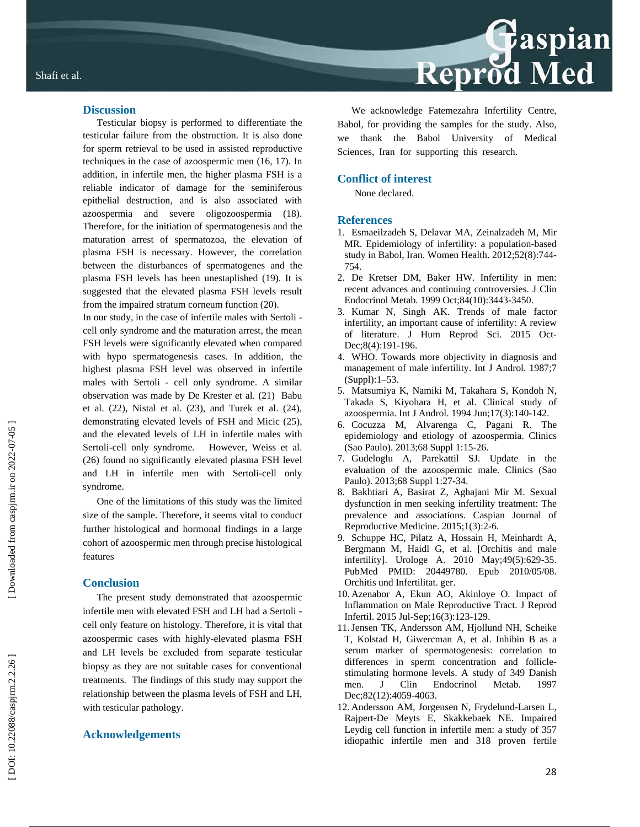### **Discussion**

Testicular biopsy is performed to differentiate the testicular failure from the obstruction. It is also done for sperm retrieval to be used in assisted reproductive techniques in the case of azoospermic men (16, 17). In addition, in infertile men, the higher plasma FSH is a reliable indicator of damage for the seminiferous epithelial destruction, and is also associated with azoospermia and severe oligozoospermia (18). Therefore, for the initiation of spermatogenesis and the maturation arrest of spermatozoa, the elevation of plasma FSH is necessary. However, the correlation between the disturbances of spermatogenes and the plasma FSH levels has been unestaplished (19). It is suggested that the elevated plasma FSH levels result from the impaired stratum corneum function (20).

In our study, in the case of infertile males with Sertoli cell only syndrome and the maturation arrest, the mean FSH levels were significantly elevated when compared with hypo spermatogenesis cases. In addition, the highest plasma FSH level was observed in infertile males with Sertoli - cell only syndrome. A similar observation was made by De Krester et al. (21) Babu et al. (22), Nistal et al. (23), and Turek et al. (24), demonstrating elevated levels of FSH and Micic (25), and the elevated levels of LH in infertile males with Sertoli-cell only syndrome. However, Weiss et al. (26) found no significantly elevated plasma FSH level and LH in infertile men with Sertoli-cell only syndrome.

One of the limitations of this study was the limited size of the sample. Therefore, it seems vital to conduct further histological and hormonal findings in a large cohort of azoospermic men through precise histological features

### **Conclusion**

The present study demonstrated that azoospermic infertile men with elevated FSH and LH had a Sertoli cell only feature on histology. Therefore, it is vital that azoospermic cases with highly-elevated plasma FSH and LH levels be excluded from separate testicular biopsy as they are not suitable cases for conventional treatments. The findings of this study may support the relationship between the plasma levels of FSH and LH, with testicular pathology.

## **Acknowledgements**

# Reprod Med

We acknowledge Fatemezahra Infertility Centre, Babol, for providing the samples for the study. Also, we thank the Babol University of Medical Sciences, Iran for supporting this research.

### **Conflict of interest**

None declared.

### **References**

- 1. Esmaeilzadeh S, Delavar MA, Zeinalzadeh M, Mir MR. Epidemiology of infertility: a population-based study in Babol, Iran. Women Health. 2012;52(8):744- 754.
- 2. De Kretser DM, Baker HW. Infertility in men: recent advances and continuing controversies. J Clin Endocrinol Metab. 1999 Oct;84(10):3443-3450.
- 3. Kumar N, Singh AK. Trends of male factor infertility, an important cause of infertility: A review of literature. J Hum Reprod Sci. 2015 Oct-Dec;8(4):191-196.
- 4. WHO. Towards more objectivity in diagnosis and management of male infertility. Int J Androl. 1987;7 (Suppl):1–53.
- 5. Matsumiya K, Namiki M, Takahara S, Kondoh N, Takada S, Kiyohara H, et al. Clinical study of azoospermia. Int J Androl. 1994 Jun;17(3):140-142.
- 6. Cocuzza M, Alvarenga C, Pagani R. The epidemiology and etiology of azoospermia. Clinics (Sao Paulo). 2013;68 Suppl 1:15-26.
- 7. Gudeloglu A, Parekattil SJ. Update in the evaluation of the azoospermic male. Clinics (Sao Paulo). 2013;68 Suppl 1:27-34.
- 8. Bakhtiari A, Basirat Z, Aghajani Mir M. Sexual dysfunction in men seeking infertility treatment: The prevalence and associations. Caspian Journal of Reproductive Medicine. 2015;1(3):2-6.
- 9. Schuppe HC, Pilatz A, Hossain H, Meinhardt A, Bergmann M, Haidl G, et al. [Orchitis and male infertility]. Urologe A. 2010 May;49(5):629-35. PubMed PMID: 20449780. Epub 2010/05/08. Orchitis und Infertilitat. ger.
- 10. Azenabor A, Ekun AO, Akinloye O. Impact of Inflammation on Male Reproductive Tract. J Reprod Infertil. 2015 Jul-Sep;16(3):123-129.
- 11. Jensen TK, Andersson AM, Hjollund NH, Scheike T, Kolstad H, Giwercman A, et al. Inhibin B as a serum marker of spermatogenesis: correlation to differences in sperm concentration and folliclestimulating hormone levels. A study of 349 Danish men. J Clin Endocrinol Metab. 1997 Dec;82(12):4059-4063.
- 12. Andersson AM, Jorgensen N, Frydelund-Larsen L, Rajpert-De Meyts E, Skakkebaek NE. Impaired Leydig cell function in infertile men: a study of 357 idiopathic infertile men and 318 proven fertile